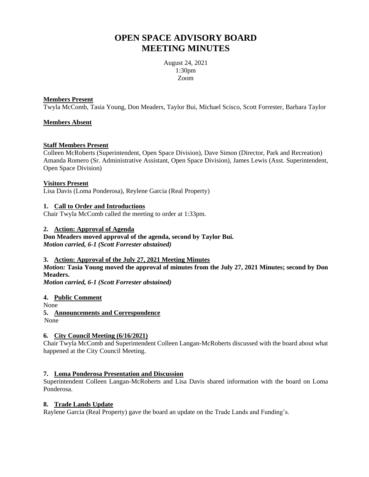# **OPEN SPACE ADVISORY BOARD MEETING MINUTES**

August 24, 2021 1:30pm Zoom

#### **Members Present**

Twyla McComb, Tasia Young, Don Meaders, Taylor Bui, Michael Scisco, Scott Forrester, Barbara Taylor

# **Members Absent**

## **Staff Members Present**

Colleen McRoberts (Superintendent, Open Space Division), Dave Simon (Director, Park and Recreation) Amanda Romero (Sr. Administrative Assistant, Open Space Division), James Lewis (Asst. Superintendent, Open Space Division)

## **Visitors Present**

Lisa Davis (Loma Ponderosa), Reylene Garcia (Real Property)

## **1. Call to Order and Introductions**

Chair Twyla McComb called the meeting to order at 1:33pm.

## **2. Action: Approval of Agenda**

**Don Meaders moved approval of the agenda, second by Taylor Bui.** *Motion carried, 6-1 (Scott Forrester abstained)*

#### **3. Action: Approval of the July 27, 2021 Meeting Minutes**

*Motion:* **Tasia Young moved the approval of minutes from the July 27, 2021 Minutes; second by Don Meaders.**

*Motion carried, 6-1 (Scott Forrester abstained)*

**4. Public Comment**

None

**5. Announcements and Correspondence** None

# **6. City Council Meeting (6/16/2021)**

Chair Twyla McComb and Superintendent Colleen Langan-McRoberts discussed with the board about what happened at the City Council Meeting.

# **7. Loma Ponderosa Presentation and Discussion**

Superintendent Colleen Langan-McRoberts and Lisa Davis shared information with the board on Loma Ponderosa.

# **8. Trade Lands Update**

Raylene Garcia (Real Property) gave the board an update on the Trade Lands and Funding's.